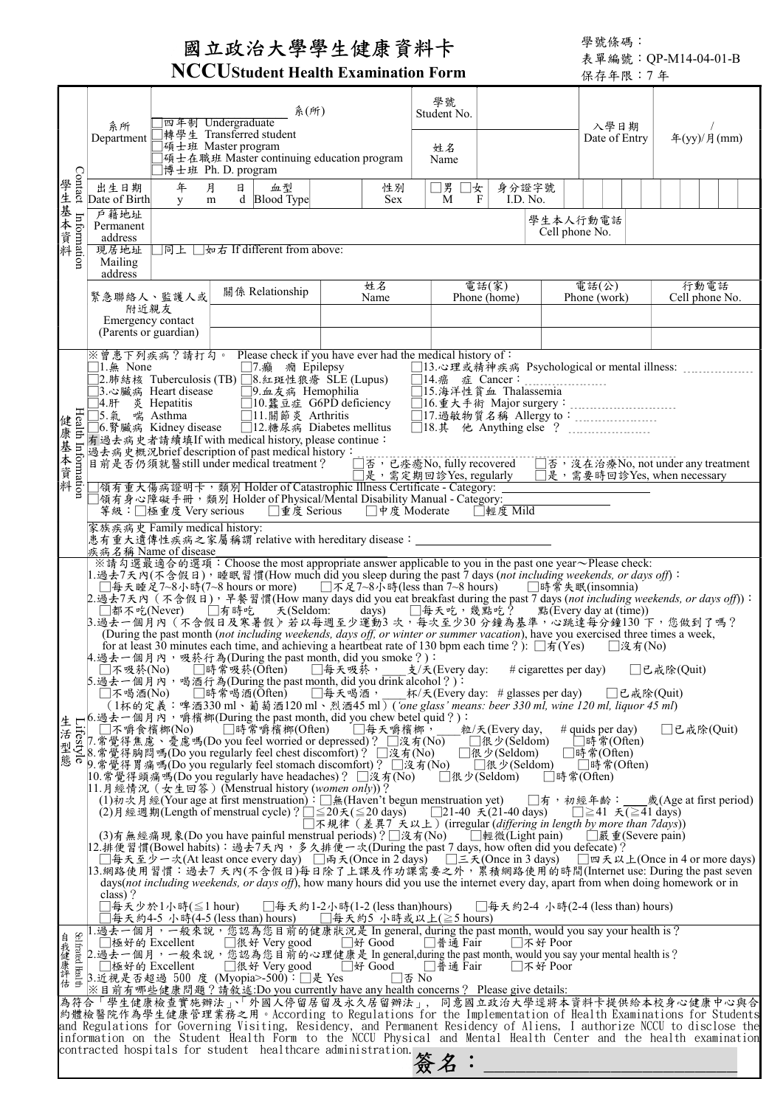## 國立政治大學學生健康資料卡

學號條碼: 表單編號:QP-M14-04-01-B

| 學號<br>系(所)<br>Student No.<br>四年制 Undergraduate<br>系所<br>入學日期<br>轉學生 Transferred student<br>年(yy)/月(mm)<br>Department<br>Date of Entry<br>□碩士班 Master program<br>姓名<br>□碩士在職班 Master continuing education program<br>Name<br>□博士班 Ph. D. program<br>學生基本資料<br>年<br>月<br>出生日期<br>□男 □女<br>日<br>身分證字號<br>血型<br>性別<br>Date of Birth<br>d Blood Type<br>M<br>I.D. No.<br><b>Sex</b><br>F<br>y.<br>m<br>戶籍地址<br>Information<br>學生本人行動電話<br>Permanent<br>Cell phone No.<br>address<br>□同上 □如右 If different from above:<br>現居地址<br>Mailing<br>address<br>電話(家)<br>行動電話<br>姓名<br>電話(公)<br>關係 Relationship<br>緊急聯絡人、監護人或<br>Phone (home)<br>Phone (work)<br>Cell phone No.<br>Name<br>附近親友<br>Emergency contact<br>(Parents or guardian)<br>※曾患下列疾病?請打勾。 Please check if you have ever had the medical history of:<br>□1.無 None<br>□7.癲 癇 Epilepsy<br>□2.肺結核 Tuberculosis(TB)□8.紅斑性狼瘡 SLE(Lupus)<br>$\Box$ 14.癌 症 Cancer:<br>.<br>□9.血友病 Hemophilia<br>□15.海洋性貧血 Thalassemia<br>□3.心臟病 Heart disease<br>□10.蠶豆症 G6PD deficiency<br>$\exists A.$ $\forall A$ $\forall B$<br>$\exists A.$ $\forall F$ $\&$ $\exists F$ $\&$ $\exists F$ $\&$ $\exists F$ $\&$ $\exists F$ $\&$ $\exists F$<br>健康基本資料<br>Health Information<br>□17. 過敏物質名稱 Allergy to:<br>□5.氣 喘 Asthma<br>□11.關節炎 Arthritis<br>□6.腎臟病 Kidney disease □12.糖尿病 Diabetes mellitus<br>有過去病史者請續填If with medical history, please continue:<br>過去病史概況brief description of past medical history:<br>□否,已痊癒No, fully recovered □否,沒在治療No, not under any treatment<br>目前是否仍須就醫still under medical treatment?<br>□是,需定期回診Yes, regularly  □是,需要時回診Yes, when necessary<br> 領有重大傷病證明卡,類別 Holder of Catastrophic Illness Certificate - Category:<br>□領有身心障礙手冊,類別 Holder of Physical/Mental Disability Manual - Category:<br>□輕度 Mild<br>□重度 Serious □中度 Moderate<br>等級:□極重度 Very serious<br>家族疾病史 Family medical history:<br>患有重大遺傳性疾病之家屬稱謂 relative with hereditary disease: _____________<br>疾病名稱 Name of disease<br>※請勾選最適合的選項:Choose the most appropriate answer applicable to you in the past one year~Please check:<br>1.過去7天內(不含假日),睡眠習慣(How much did you sleep during the past 7 days (not including weekends, or days off):<br>□每天睡足7~8小時(7~8 hours or more) □不足7~8小時(less than 7~8 hours)<br>□時常失眠(insomnia)<br>2.過去7天內(不含假日),早餐習慣(How many days did you eat breakfast during the past 7 days (not including weekends, or days off)):<br>□都不吃(Never)  □有時吃  天(Seldom: days)  □每天吃,幾點吃?  點(Every day at (time))<br>3. 過去一個月內 (不含假日及寒暑假) 若以每週至少運動3次, 每次至少30分鐘為基準, 心跳達每分鐘130 下, 您做到了嗎?<br>(During the past month (not including weekends, days off, or winter or summer vacation), have you exercised three times a week,<br>for at least 30 minutes each time, and achieving a heartbeat rate of 130 bpm each time ?): $\Box \pi(Yes)$<br>   沒有(No) <br>4.過去一個月內,吸菸行為(During the past month, did you smoke ?):<br>□時常吸菸(Ōften)  □每天吸菸,__支/夭(Every day:<br>□不吸菸(No)<br>$\#$ cigarettes per day)<br>□已戒除(Quit)<br>5. 過去一個月內,喝酒行為(During the past month, did you drink alcohol?):<br>□時常喝酒(Often)<br>□每天喝酒,<br>杯/夭(Every day: # glasses per day) □□  □已戒除(Quit)<br>   不喝酒(No) <br>(1杯的定義:啤酒330 ml、葡萄酒120 ml、烈酒45 ml) ('one glass' means: beer 330 ml, wine 120 ml, liquor 45 ml)<br>生 L'6.過去一個月內,嚼檳榔(During the past month, did you chew betel quid ?):<br>活 Light Company の事権機は (During the past month, did you chew betel quid ?):<br>活 Disc 7.常覺得焦慮、憂慮嗎(Do you feel worried or depressed)? □毎天嚼檳榔, ___粒<br>Micy L.常覺<br>粒/天(Every day,<br># quids per day)<br>□已戒除(Quit)<br>□ (很少(Seldom)<br>□時常(Often)<br>□很少(Seldom)<br>□時常(Often)<br> 應 d b. # 鬼付 m m m(Lv jvu regularly feel stomach discomfort) ? □沒有(No)<br>悪 d p.常覺得胃痛嗎(Do you regularly feel stomach discomfort) ? □? 右(No)<br>□很少(Seldom)<br>□時常(Often)<br> 10.常覺得頭痛嗎(Do you regularly have headaches)? □沒有(No)<br>□很少(Seldom)<br>□時常(Often)<br>11.月經情況 (女生回答) (Menstrual history (women only))?<br>(1)初次月經(Your age at first menstruation): □無(Haven't begun menstruation yet)<br>□有,初經年齡:__歲(Age at first period)<br>(2)月經週期(Length of menstrual cycle)? $\Box \leq 20 \times (\leq 20 \text{ days})$<br>□21-40 天(21-40 days)<br>□ $\geq$ 41 天( $\geq$ 41 days)<br>□不規律(差異7 天以上)(irregular (differing in length by more than 7days))<br>(3)有無經痛現象(Do you have painful menstrual periods)?□沒有(No) □輕微(Light pain)<br>   嚴重(Severe pain)<br> 12.排便習慣(Bowel habits): 過去7天內, 多久排便一次(During the past 7 days, how often did you defecate)?<br>□每天至少一次(At least once every day) □両天(Once in 2 days) □三天(Once in 3 days) □四天以上(Once in 4 or more days)<br> 13.網路使用習慣:過去7 天內(不含假日)每日除了上課及作功課需要之外,累積網路使用的時間(Internet use: During the past seven<br>days (not including weekends, or days off), how many hours did you use the internet every day, apart from when doing homework or in<br>class)?<br>□每天少於1小時(≦1 hour) -<br>□每天約1-2小時(1-2 (less than)hours)<br>□每天約2-4 小時(2-4 (less than) hours)<br>□每天約4-5 小時(4-5 (less than) hours)<br>□每天約5 小時或以上(≧5 hours)<br>1.過去一個月,一般來說,您認為您目前的健康狀況是 In general, during the past month, would you say your health is?<br>自我健康評估 |  |  |  | <b>INCCUStudent Health Examination Form</b> |  |  | 保存年限:7年 |  |  |  |  |
|----------------------------------------------------------------------------------------------------------------------------------------------------------------------------------------------------------------------------------------------------------------------------------------------------------------------------------------------------------------------------------------------------------------------------------------------------------------------------------------------------------------------------------------------------------------------------------------------------------------------------------------------------------------------------------------------------------------------------------------------------------------------------------------------------------------------------------------------------------------------------------------------------------------------------------------------------------------------------------------------------------------------------------------------------------------------------------------------------------------------------------------------------------------------------------------------------------------------------------------------------------------------------------------------------------------------------------------------------------------------------------------------------------------------------------------------------------------------------------------------------------------------------------------------------------------------------------------------------------------------------------------------------------------------------------------------------------------------------------------------------------------------------------------------------------------------------------------------------------------------------------------------------------------------------------------------------------------------------------------------------------------------------------------------------------------------------------------------------------------------------------------------------------------------------------------------------------------------------------------------------------------------------------------------------------------------------------------------------------------------------------------------------------------------------------------------------------------------------------------------------------------------------------------------------------------------------------------------------------------------------------------------------------------------------------------------------------------------------------------------------------------------------------------------------------------------------------------------------------------------------------------------------------------------------------------------------------------------------------------------------------------------------------------------------------------------------------------------------------------------------------------------------------------------------------------------------------------------------------------------------------------------------------------------------------------------------------------------------------------------------------------------------------------------------------------------------------------------------------------------------------------------------------------------------------------------------------------------------------------------------------------------------------------------------------------------------------------------------------------------------------------------------------------------------------------------------------------------------------------------------------------------------------------------------------------------------------------------------------------------------------------------------------------------------------------------------------------------------------------------------------------------------------------------------------------------------------------------------------------------------------------------------------------------------------------------------------------------------------------------------------------------------------------------------------------------------------------------------------------------------------------------------------------------------------------------------------------------------------------------------------------------------------------------------------------------------------------------------------------------------------------------------------------------------------------------------------------------------------------------------------------------------------------------------------------------------------------------------------------------------------------------------------------------------------------------|--|--|--|---------------------------------------------|--|--|---------|--|--|--|--|
|                                                                                                                                                                                                                                                                                                                                                                                                                                                                                                                                                                                                                                                                                                                                                                                                                                                                                                                                                                                                                                                                                                                                                                                                                                                                                                                                                                                                                                                                                                                                                                                                                                                                                                                                                                                                                                                                                                                                                                                                                                                                                                                                                                                                                                                                                                                                                                                                                                                                                                                                                                                                                                                                                                                                                                                                                                                                                                                                                                                                                                                                                                                                                                                                                                                                                                                                                                                                                                                                                                                                                                                                                                                                                                                                                                                                                                                                                                                                                                                                                                                                                                                                                                                                                                                                                                                                                                                                                                                                                                                                                                                                                                                                                                                                                                                                                                                                                                                                                                                                                                                                      |  |  |  |                                             |  |  |         |  |  |  |  |
|                                                                                                                                                                                                                                                                                                                                                                                                                                                                                                                                                                                                                                                                                                                                                                                                                                                                                                                                                                                                                                                                                                                                                                                                                                                                                                                                                                                                                                                                                                                                                                                                                                                                                                                                                                                                                                                                                                                                                                                                                                                                                                                                                                                                                                                                                                                                                                                                                                                                                                                                                                                                                                                                                                                                                                                                                                                                                                                                                                                                                                                                                                                                                                                                                                                                                                                                                                                                                                                                                                                                                                                                                                                                                                                                                                                                                                                                                                                                                                                                                                                                                                                                                                                                                                                                                                                                                                                                                                                                                                                                                                                                                                                                                                                                                                                                                                                                                                                                                                                                                                                                      |  |  |  |                                             |  |  |         |  |  |  |  |
|                                                                                                                                                                                                                                                                                                                                                                                                                                                                                                                                                                                                                                                                                                                                                                                                                                                                                                                                                                                                                                                                                                                                                                                                                                                                                                                                                                                                                                                                                                                                                                                                                                                                                                                                                                                                                                                                                                                                                                                                                                                                                                                                                                                                                                                                                                                                                                                                                                                                                                                                                                                                                                                                                                                                                                                                                                                                                                                                                                                                                                                                                                                                                                                                                                                                                                                                                                                                                                                                                                                                                                                                                                                                                                                                                                                                                                                                                                                                                                                                                                                                                                                                                                                                                                                                                                                                                                                                                                                                                                                                                                                                                                                                                                                                                                                                                                                                                                                                                                                                                                                                      |  |  |  |                                             |  |  |         |  |  |  |  |
|                                                                                                                                                                                                                                                                                                                                                                                                                                                                                                                                                                                                                                                                                                                                                                                                                                                                                                                                                                                                                                                                                                                                                                                                                                                                                                                                                                                                                                                                                                                                                                                                                                                                                                                                                                                                                                                                                                                                                                                                                                                                                                                                                                                                                                                                                                                                                                                                                                                                                                                                                                                                                                                                                                                                                                                                                                                                                                                                                                                                                                                                                                                                                                                                                                                                                                                                                                                                                                                                                                                                                                                                                                                                                                                                                                                                                                                                                                                                                                                                                                                                                                                                                                                                                                                                                                                                                                                                                                                                                                                                                                                                                                                                                                                                                                                                                                                                                                                                                                                                                                                                      |  |  |  |                                             |  |  |         |  |  |  |  |
|                                                                                                                                                                                                                                                                                                                                                                                                                                                                                                                                                                                                                                                                                                                                                                                                                                                                                                                                                                                                                                                                                                                                                                                                                                                                                                                                                                                                                                                                                                                                                                                                                                                                                                                                                                                                                                                                                                                                                                                                                                                                                                                                                                                                                                                                                                                                                                                                                                                                                                                                                                                                                                                                                                                                                                                                                                                                                                                                                                                                                                                                                                                                                                                                                                                                                                                                                                                                                                                                                                                                                                                                                                                                                                                                                                                                                                                                                                                                                                                                                                                                                                                                                                                                                                                                                                                                                                                                                                                                                                                                                                                                                                                                                                                                                                                                                                                                                                                                                                                                                                                                      |  |  |  |                                             |  |  |         |  |  |  |  |
|                                                                                                                                                                                                                                                                                                                                                                                                                                                                                                                                                                                                                                                                                                                                                                                                                                                                                                                                                                                                                                                                                                                                                                                                                                                                                                                                                                                                                                                                                                                                                                                                                                                                                                                                                                                                                                                                                                                                                                                                                                                                                                                                                                                                                                                                                                                                                                                                                                                                                                                                                                                                                                                                                                                                                                                                                                                                                                                                                                                                                                                                                                                                                                                                                                                                                                                                                                                                                                                                                                                                                                                                                                                                                                                                                                                                                                                                                                                                                                                                                                                                                                                                                                                                                                                                                                                                                                                                                                                                                                                                                                                                                                                                                                                                                                                                                                                                                                                                                                                                                                                                      |  |  |  |                                             |  |  |         |  |  |  |  |
|                                                                                                                                                                                                                                                                                                                                                                                                                                                                                                                                                                                                                                                                                                                                                                                                                                                                                                                                                                                                                                                                                                                                                                                                                                                                                                                                                                                                                                                                                                                                                                                                                                                                                                                                                                                                                                                                                                                                                                                                                                                                                                                                                                                                                                                                                                                                                                                                                                                                                                                                                                                                                                                                                                                                                                                                                                                                                                                                                                                                                                                                                                                                                                                                                                                                                                                                                                                                                                                                                                                                                                                                                                                                                                                                                                                                                                                                                                                                                                                                                                                                                                                                                                                                                                                                                                                                                                                                                                                                                                                                                                                                                                                                                                                                                                                                                                                                                                                                                                                                                                                                      |  |  |  |                                             |  |  |         |  |  |  |  |
|                                                                                                                                                                                                                                                                                                                                                                                                                                                                                                                                                                                                                                                                                                                                                                                                                                                                                                                                                                                                                                                                                                                                                                                                                                                                                                                                                                                                                                                                                                                                                                                                                                                                                                                                                                                                                                                                                                                                                                                                                                                                                                                                                                                                                                                                                                                                                                                                                                                                                                                                                                                                                                                                                                                                                                                                                                                                                                                                                                                                                                                                                                                                                                                                                                                                                                                                                                                                                                                                                                                                                                                                                                                                                                                                                                                                                                                                                                                                                                                                                                                                                                                                                                                                                                                                                                                                                                                                                                                                                                                                                                                                                                                                                                                                                                                                                                                                                                                                                                                                                                                                      |  |  |  |                                             |  |  |         |  |  |  |  |
|                                                                                                                                                                                                                                                                                                                                                                                                                                                                                                                                                                                                                                                                                                                                                                                                                                                                                                                                                                                                                                                                                                                                                                                                                                                                                                                                                                                                                                                                                                                                                                                                                                                                                                                                                                                                                                                                                                                                                                                                                                                                                                                                                                                                                                                                                                                                                                                                                                                                                                                                                                                                                                                                                                                                                                                                                                                                                                                                                                                                                                                                                                                                                                                                                                                                                                                                                                                                                                                                                                                                                                                                                                                                                                                                                                                                                                                                                                                                                                                                                                                                                                                                                                                                                                                                                                                                                                                                                                                                                                                                                                                                                                                                                                                                                                                                                                                                                                                                                                                                                                                                      |  |  |  |                                             |  |  |         |  |  |  |  |
|                                                                                                                                                                                                                                                                                                                                                                                                                                                                                                                                                                                                                                                                                                                                                                                                                                                                                                                                                                                                                                                                                                                                                                                                                                                                                                                                                                                                                                                                                                                                                                                                                                                                                                                                                                                                                                                                                                                                                                                                                                                                                                                                                                                                                                                                                                                                                                                                                                                                                                                                                                                                                                                                                                                                                                                                                                                                                                                                                                                                                                                                                                                                                                                                                                                                                                                                                                                                                                                                                                                                                                                                                                                                                                                                                                                                                                                                                                                                                                                                                                                                                                                                                                                                                                                                                                                                                                                                                                                                                                                                                                                                                                                                                                                                                                                                                                                                                                                                                                                                                                                                      |  |  |  |                                             |  |  |         |  |  |  |  |
| 為符合「學生健康檢查實施辦法」、「外國人停留居留及永久居留辦法」,同意國立政治大學逕將本資料卡提供給本校身心健康中心與合<br>約體檢醫院作為學生健康管理業務之用。According to Regulations for the Implementation of Health Examinations for Students<br>and Regulations for Governing Visiting, Residency, and Permanent Residency of Aliens, I authorize NCCU to disclose the<br>information on the Student Health Form to the NCCU Physical and Mental Health Center and the health examination<br>end measurements on the Student Health rorm to the measurement information.<br>contracted hospitals for student healthcare administration.                                                                                                                                                                                                                                                                                                                                                                                                                                                                                                                                                                                                                                                                                                                                                                                                                                                                                                                                                                                                                                                                                                                                                                                                                                                                                                                                                                                                                                                                                                                                                                                                                                                                                                                                                                                                                                                                                                                                                                                                                                                                                                                                                                                                                                                                                                                                                                                                                                                                                                                                                                                                                                                                                                                                                                                                                                                                                                                                                                                                                                                                                                                                                                                                                                                                                                                                                                                                                                                                                                                                                                                                                                                                                                                                                                                                                                                                                                                                                                                                                                                                                                                                                                                                                                                                                                                                                                                                                                                                                                     |  |  |  |                                             |  |  |         |  |  |  |  |